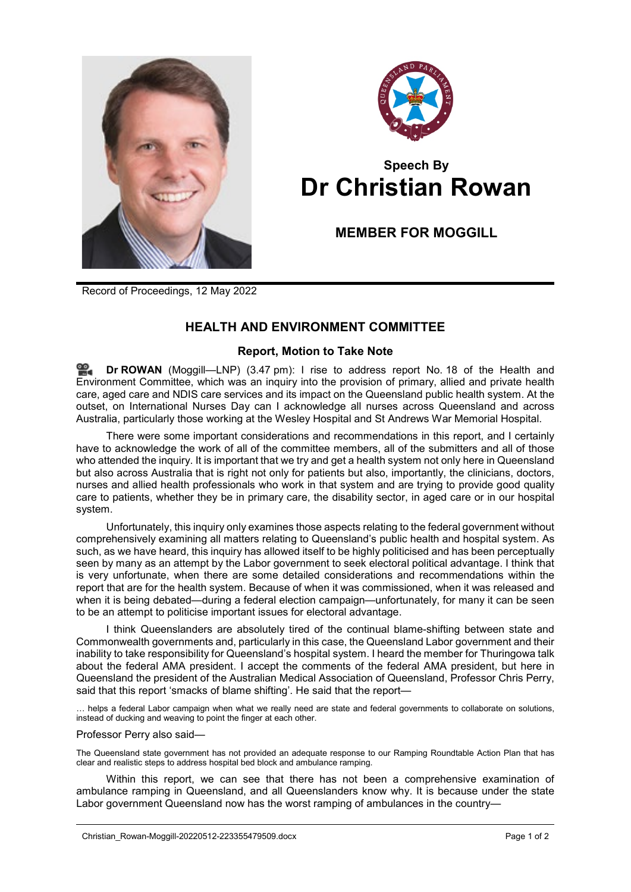



# **Speech By Dr Christian Rowan**

## **MEMBER FOR MOGGILL**

Record of Proceedings, 12 May 2022

### **HEALTH AND ENVIRONMENT COMMITTEE**

#### **Report, Motion to Take Note**

≌. **Dr [ROWAN](http://www.parliament.qld.gov.au/docs/find.aspx?id=0Mba20220512_154728)** (Moggill—LNP) (3.47 pm): I rise to address report No. 18 of the Health and Environment Committee, which was an inquiry into the provision of primary, allied and private health care, aged care and NDIS care services and its impact on the Queensland public health system. At the outset, on International Nurses Day can I acknowledge all nurses across Queensland and across Australia, particularly those working at the Wesley Hospital and St Andrews War Memorial Hospital.

There were some important considerations and recommendations in this report, and I certainly have to acknowledge the work of all of the committee members, all of the submitters and all of those who attended the inquiry. It is important that we try and get a health system not only here in Queensland but also across Australia that is right not only for patients but also, importantly, the clinicians, doctors, nurses and allied health professionals who work in that system and are trying to provide good quality care to patients, whether they be in primary care, the disability sector, in aged care or in our hospital system.

Unfortunately, this inquiry only examines those aspects relating to the federal government without comprehensively examining all matters relating to Queensland's public health and hospital system. As such, as we have heard, this inquiry has allowed itself to be highly politicised and has been perceptually seen by many as an attempt by the Labor government to seek electoral political advantage. I think that is very unfortunate, when there are some detailed considerations and recommendations within the report that are for the health system. Because of when it was commissioned, when it was released and when it is being debated—during a federal election campaign—unfortunately, for many it can be seen to be an attempt to politicise important issues for electoral advantage.

I think Queenslanders are absolutely tired of the continual blame-shifting between state and Commonwealth governments and, particularly in this case, the Queensland Labor government and their inability to take responsibility for Queensland's hospital system. I heard the member for Thuringowa talk about the federal AMA president. I accept the comments of the federal AMA president, but here in Queensland the president of the Australian Medical Association of Queensland, Professor Chris Perry, said that this report 'smacks of blame shifting'. He said that the report—

… helps a federal Labor campaign when what we really need are state and federal governments to collaborate on solutions, instead of ducking and weaving to point the finger at each other.

Professor Perry also said—

The Queensland state government has not provided an adequate response to our Ramping Roundtable Action Plan that has clear and realistic steps to address hospital bed block and ambulance ramping.

Within this report, we can see that there has not been a comprehensive examination of ambulance ramping in Queensland, and all Queenslanders know why. It is because under the state Labor government Queensland now has the worst ramping of ambulances in the country—